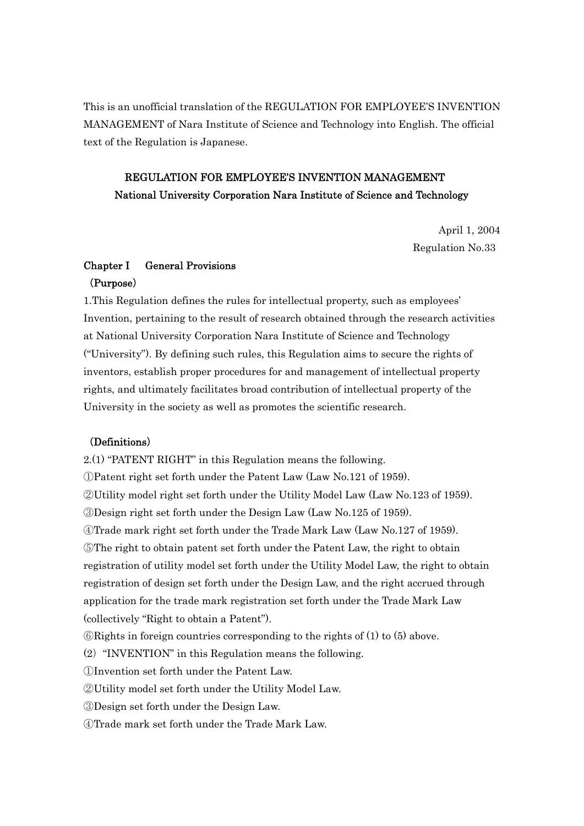This is an unofficial translation of the REGULATION FOR EMPLOYEE'S INVENTION MANAGEMENT of Nara Institute of Science and Technology into English. The official text of the Regulation is Japanese.

# REGULATION FOR EMPLOYEE'S INVENTION MANAGEMENT National University Corporation Nara Institute of Science and Technology

 April 1, 2004 Regulation No.33

# Chapter I General Provisions (Purpose)

1.This Regulation defines the rules for intellectual property, such as employees' Invention, pertaining to the result of research obtained through the research activities at National University Corporation Nara Institute of Science and Technology ("University"). By defining such rules, this Regulation aims to secure the rights of inventors, establish proper procedures for and management of intellectual property rights, and ultimately facilitates broad contribution of intellectual property of the University in the society as well as promotes the scientific research.

#### (Definitions)

2.(1) "PATENT RIGHT" in this Regulation means the following. ①Patent right set forth under the Patent Law (Law No.121 of 1959). ②Utility model right set forth under the Utility Model Law (Law No.123 of 1959). ③Design right set forth under the Design Law (Law No.125 of 1959). ④Trade mark right set forth under the Trade Mark Law (Law No.127 of 1959). ⑤The right to obtain patent set forth under the Patent Law, the right to obtain registration of utility model set forth under the Utility Model Law, the right to obtain registration of design set forth under the Design Law, and the right accrued through application for the trade mark registration set forth under the Trade Mark Law (collectively "Right to obtain a Patent"). ⑥Rights in foreign countries corresponding to the rights of (1) to (5) above. (2)"INVENTION" in this Regulation means the following. ①Invention set forth under the Patent Law. ②Utility model set forth under the Utility Model Law.

③Design set forth under the Design Law.

④Trade mark set forth under the Trade Mark Law.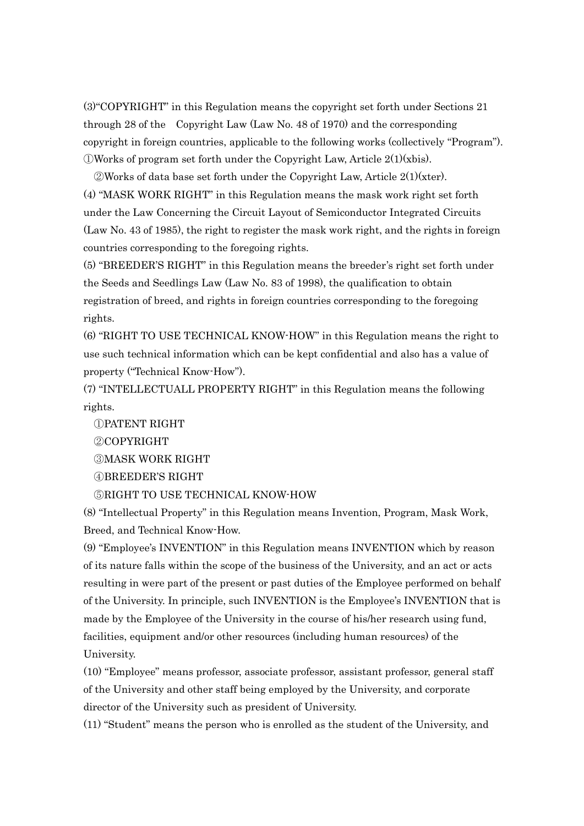(3)"COPYRIGHT" in this Regulation means the copyright set forth under Sections 21 through 28 of the Copyright Law (Law No. 48 of 1970) and the corresponding copyright in foreign countries, applicable to the following works (collectively "Program").  $\Omega$ Works of program set forth under the Copyright Law, Article 2(1)(xbis).

 ②Works of data base set forth under the Copyright Law, Article 2(1)(xter). (4) "MASK WORK RIGHT" in this Regulation means the mask work right set forth under the Law Concerning the Circuit Layout of Semiconductor Integrated Circuits (Law No. 43 of 1985), the right to register the mask work right, and the rights in foreign countries corresponding to the foregoing rights.

(5) "BREEDER'S RIGHT" in this Regulation means the breeder's right set forth under the Seeds and Seedlings Law (Law No. 83 of 1998), the qualification to obtain registration of breed, and rights in foreign countries corresponding to the foregoing rights.

(6) "RIGHT TO USE TECHNICAL KNOW-HOW" in this Regulation means the right to use such technical information which can be kept confidential and also has a value of property ("Technical Know-How").

(7) "INTELLECTUALL PROPERTY RIGHT" in this Regulation means the following rights.

①PATENT RIGHT

②COPYRIGHT

③MASK WORK RIGHT

④BREEDER'S RIGHT

⑤RIGHT TO USE TECHNICAL KNOW-HOW

(8) "Intellectual Property" in this Regulation means Invention, Program, Mask Work, Breed, and Technical Know-How.

(9) "Employee's INVENTION" in this Regulation means INVENTION which by reason of its nature falls within the scope of the business of the University, and an act or acts resulting in were part of the present or past duties of the Employee performed on behalf of the University. In principle, such INVENTION is the Employee's INVENTION that is made by the Employee of the University in the course of his/her research using fund, facilities, equipment and/or other resources (including human resources) of the University.

(10) "Employee" means professor, associate professor, assistant professor, general staff of the University and other staff being employed by the University, and corporate director of the University such as president of University.

(11) "Student" means the person who is enrolled as the student of the University, and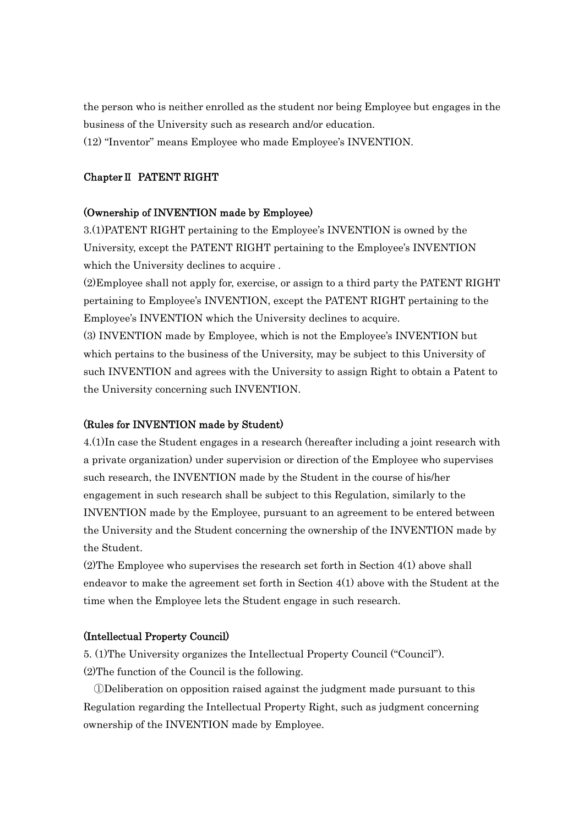the person who is neither enrolled as the student nor being Employee but engages in the business of the University such as research and/or education. (12) "Inventor" means Employee who made Employee's INVENTION.

## ChapterⅡ PATENT RIGHT

#### (Ownership of INVENTION made by Employee)

3.(1)PATENT RIGHT pertaining to the Employee's INVENTION is owned by the University, except the PATENT RIGHT pertaining to the Employee's INVENTION which the University declines to acquire .

(2)Employee shall not apply for, exercise, or assign to a third party the PATENT RIGHT pertaining to Employee's INVENTION, except the PATENT RIGHT pertaining to the Employee's INVENTION which the University declines to acquire.

(3) INVENTION made by Employee, which is not the Employee's INVENTION but which pertains to the business of the University, may be subject to this University of such INVENTION and agrees with the University to assign Right to obtain a Patent to the University concerning such INVENTION.

#### (Rules for INVENTION made by Student)

4.(1)In case the Student engages in a research (hereafter including a joint research with a private organization) under supervision or direction of the Employee who supervises such research, the INVENTION made by the Student in the course of his/her engagement in such research shall be subject to this Regulation, similarly to the INVENTION made by the Employee, pursuant to an agreement to be entered between the University and the Student concerning the ownership of the INVENTION made by the Student.

(2)The Employee who supervises the research set forth in Section 4(1) above shall endeavor to make the agreement set forth in Section 4(1) above with the Student at the time when the Employee lets the Student engage in such research.

#### (Intellectual Property Council)

5. (1)The University organizes the Intellectual Property Council ("Council").

(2)The function of the Council is the following.

 ①Deliberation on opposition raised against the judgment made pursuant to this Regulation regarding the Intellectual Property Right, such as judgment concerning ownership of the INVENTION made by Employee.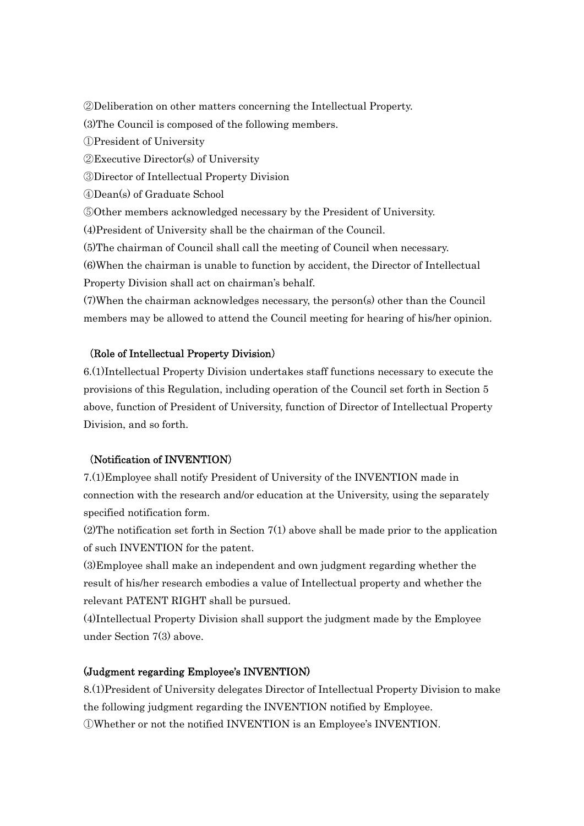②Deliberation on other matters concerning the Intellectual Property.

(3)The Council is composed of the following members.

①President of University

②Executive Director(s) of University

③Director of Intellectual Property Division

④Dean(s) of Graduate School

⑤Other members acknowledged necessary by the President of University.

(4)President of University shall be the chairman of the Council.

(5)The chairman of Council shall call the meeting of Council when necessary.

(6)When the chairman is unable to function by accident, the Director of Intellectual Property Division shall act on chairman's behalf.

(7)When the chairman acknowledges necessary, the person(s) other than the Council members may be allowed to attend the Council meeting for hearing of his/her opinion.

#### (Role of Intellectual Property Division)

6.(1)Intellectual Property Division undertakes staff functions necessary to execute the provisions of this Regulation, including operation of the Council set forth in Section 5 above, function of President of University, function of Director of Intellectual Property Division, and so forth.

#### (Notification of INVENTION)

7.(1)Employee shall notify President of University of the INVENTION made in connection with the research and/or education at the University, using the separately specified notification form.

(2)The notification set forth in Section 7(1) above shall be made prior to the application of such INVENTION for the patent.

(3)Employee shall make an independent and own judgment regarding whether the result of his/her research embodies a value of Intellectual property and whether the relevant PATENT RIGHT shall be pursued.

(4)Intellectual Property Division shall support the judgment made by the Employee under Section 7(3) above.

### (Judgment regarding Employee's INVENTION)

8.(1)President of University delegates Director of Intellectual Property Division to make the following judgment regarding the INVENTION notified by Employee. ①Whether or not the notified INVENTION is an Employee's INVENTION.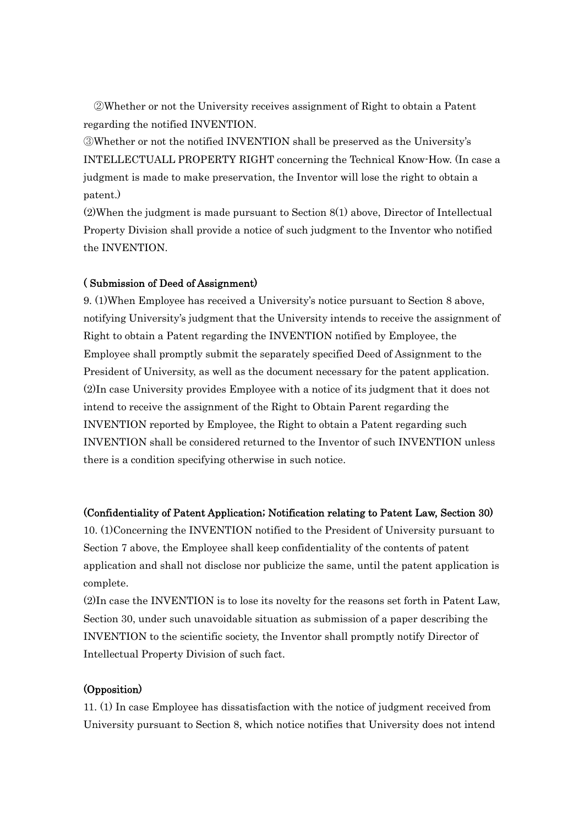②Whether or not the University receives assignment of Right to obtain a Patent regarding the notified INVENTION.

③Whether or not the notified INVENTION shall be preserved as the University's INTELLECTUALL PROPERTY RIGHT concerning the Technical Know-How. (In case a judgment is made to make preservation, the Inventor will lose the right to obtain a patent.)

(2)When the judgment is made pursuant to Section 8(1) above, Director of Intellectual Property Division shall provide a notice of such judgment to the Inventor who notified the INVENTION.

#### ( Submission of Deed of Assignment)

9. (1)When Employee has received a University's notice pursuant to Section 8 above, notifying University's judgment that the University intends to receive the assignment of Right to obtain a Patent regarding the INVENTION notified by Employee, the Employee shall promptly submit the separately specified Deed of Assignment to the President of University, as well as the document necessary for the patent application. (2)In case University provides Employee with a notice of its judgment that it does not intend to receive the assignment of the Right to Obtain Parent regarding the INVENTION reported by Employee, the Right to obtain a Patent regarding such INVENTION shall be considered returned to the Inventor of such INVENTION unless there is a condition specifying otherwise in such notice.

#### (Confidentiality of Patent Application; Notification relating to Patent Law, Section 30)

10. (1)Concerning the INVENTION notified to the President of University pursuant to Section 7 above, the Employee shall keep confidentiality of the contents of patent application and shall not disclose nor publicize the same, until the patent application is complete.

(2)In case the INVENTION is to lose its novelty for the reasons set forth in Patent Law, Section 30, under such unavoidable situation as submission of a paper describing the INVENTION to the scientific society, the Inventor shall promptly notify Director of Intellectual Property Division of such fact.

#### (Opposition)

11. (1) In case Employee has dissatisfaction with the notice of judgment received from University pursuant to Section 8, which notice notifies that University does not intend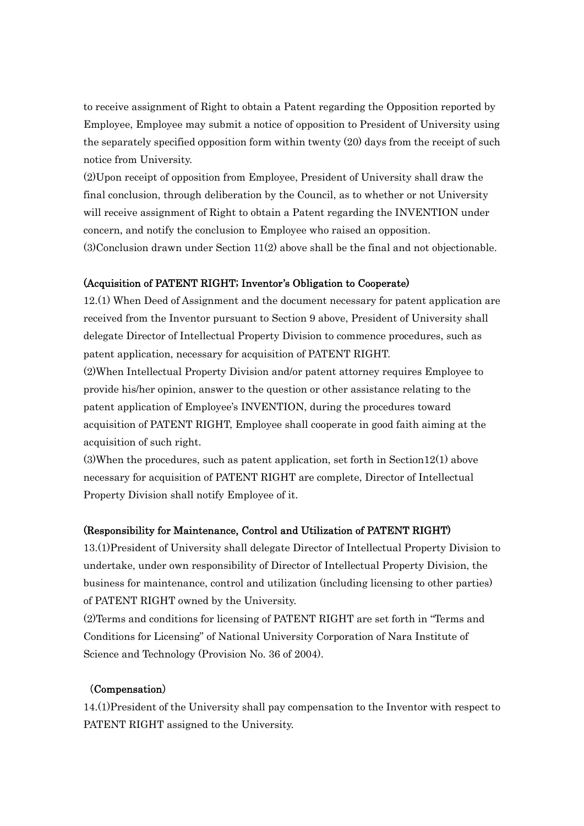to receive assignment of Right to obtain a Patent regarding the Opposition reported by Employee, Employee may submit a notice of opposition to President of University using the separately specified opposition form within twenty (20) days from the receipt of such notice from University.

(2)Upon receipt of opposition from Employee, President of University shall draw the final conclusion, through deliberation by the Council, as to whether or not University will receive assignment of Right to obtain a Patent regarding the INVENTION under concern, and notify the conclusion to Employee who raised an opposition. (3)Conclusion drawn under Section 11(2) above shall be the final and not objectionable.

## (Acquisition of PATENT RIGHT; Inventor's Obligation to Cooperate)

12.(1) When Deed of Assignment and the document necessary for patent application are received from the Inventor pursuant to Section 9 above, President of University shall delegate Director of Intellectual Property Division to commence procedures, such as patent application, necessary for acquisition of PATENT RIGHT.

(2)When Intellectual Property Division and/or patent attorney requires Employee to provide his/her opinion, answer to the question or other assistance relating to the patent application of Employee's INVENTION, during the procedures toward acquisition of PATENT RIGHT, Employee shall cooperate in good faith aiming at the acquisition of such right.

(3)When the procedures, such as patent application, set forth in Section12(1) above necessary for acquisition of PATENT RIGHT are complete, Director of Intellectual Property Division shall notify Employee of it.

#### (Responsibility for Maintenance, Control and Utilization of PATENT RIGHT)

13.(1)President of University shall delegate Director of Intellectual Property Division to undertake, under own responsibility of Director of Intellectual Property Division, the business for maintenance, control and utilization (including licensing to other parties) of PATENT RIGHT owned by the University.

(2)Terms and conditions for licensing of PATENT RIGHT are set forth in "Terms and Conditions for Licensing" of National University Corporation of Nara Institute of Science and Technology (Provision No. 36 of 2004).

#### (Compensation)

14.(1)President of the University shall pay compensation to the Inventor with respect to PATENT RIGHT assigned to the University.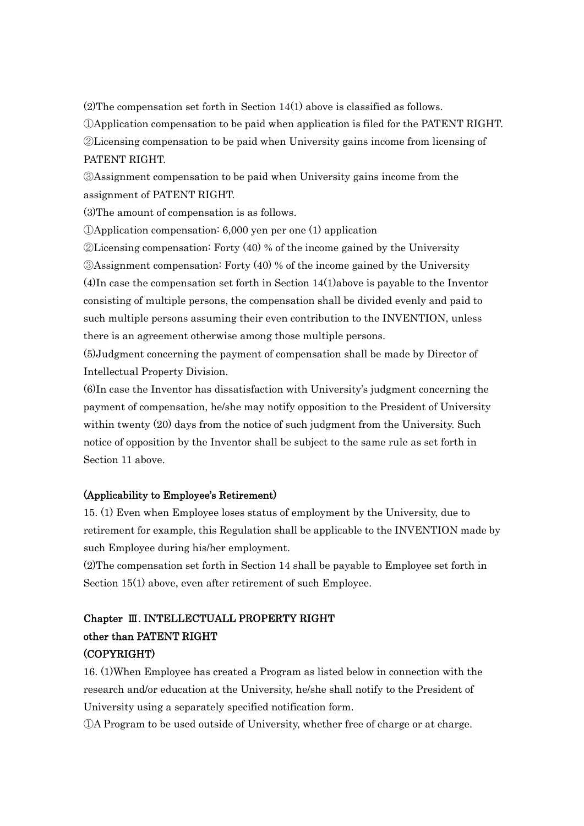(2)The compensation set forth in Section 14(1) above is classified as follows.

①Application compensation to be paid when application is filed for the PATENT RIGHT. ②Licensing compensation to be paid when University gains income from licensing of

# PATENT RIGHT.

③Assignment compensation to be paid when University gains income from the assignment of PATENT RIGHT.

(3)The amount of compensation is as follows.

①Application compensation: 6,000 yen per one (1) application

②Licensing compensation: Forty (40) % of the income gained by the University ③Assignment compensation: Forty (40) % of the income gained by the University (4)In case the compensation set forth in Section 14(1)above is payable to the Inventor consisting of multiple persons, the compensation shall be divided evenly and paid to such multiple persons assuming their even contribution to the INVENTION, unless there is an agreement otherwise among those multiple persons.

(5)Judgment concerning the payment of compensation shall be made by Director of Intellectual Property Division.

(6)In case the Inventor has dissatisfaction with University's judgment concerning the payment of compensation, he/she may notify opposition to the President of University within twenty (20) days from the notice of such judgment from the University. Such notice of opposition by the Inventor shall be subject to the same rule as set forth in Section 11 above.

# (Applicability to Employee's Retirement)

15. (1) Even when Employee loses status of employment by the University, due to retirement for example, this Regulation shall be applicable to the INVENTION made by such Employee during his/her employment.

(2)The compensation set forth in Section 14 shall be payable to Employee set forth in Section 15(1) above, even after retirement of such Employee.

# Chapter Ⅲ. INTELLECTUALL PROPERTY RIGHT other than PATENT RIGHT (COPYRIGHT)

16. (1)When Employee has created a Program as listed below in connection with the research and/or education at the University, he/she shall notify to the President of University using a separately specified notification form.

①A Program to be used outside of University, whether free of charge or at charge.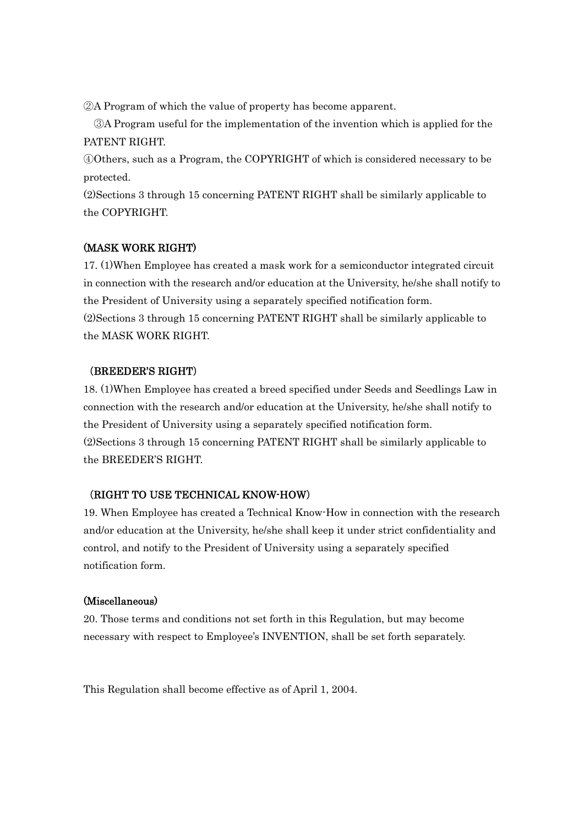②A Program of which the value of property has become apparent.

 ③A Program useful for the implementation of the invention which is applied for the PATENT RIGHT.

④Others, such as a Program, the COPYRIGHT of which is considered necessary to be protected.

(2)Sections 3 through 15 concerning PATENT RIGHT shall be similarly applicable to the COPYRIGHT.

## (MASK WORK RIGHT)

17. (1)When Employee has created a mask work for a semiconductor integrated circuit in connection with the research and/or education at the University, he/she shall notify to the President of University using a separately specified notification form. (2)Sections 3 through 15 concerning PATENT RIGHT shall be similarly applicable to the MASK WORK RIGHT.

## (BREEDER'S RIGHT)

18. (1)When Employee has created a breed specified under Seeds and Seedlings Law in connection with the research and/or education at the University, he/she shall notify to the President of University using a separately specified notification form. (2)Sections 3 through 15 concerning PATENT RIGHT shall be similarly applicable to the BREEDER'S RIGHT.

#### (RIGHT TO USE TECHNICAL KNOW-HOW)

19. When Employee has created a Technical Know-How in connection with the research and/or education at the University, he/she shall keep it under strict confidentiality and control, and notify to the President of University using a separately specified notification form.

### (Miscellaneous)

20. Those terms and conditions not set forth in this Regulation, but may become necessary with respect to Employee's INVENTION, shall be set forth separately.

This Regulation shall become effective as of April 1, 2004.